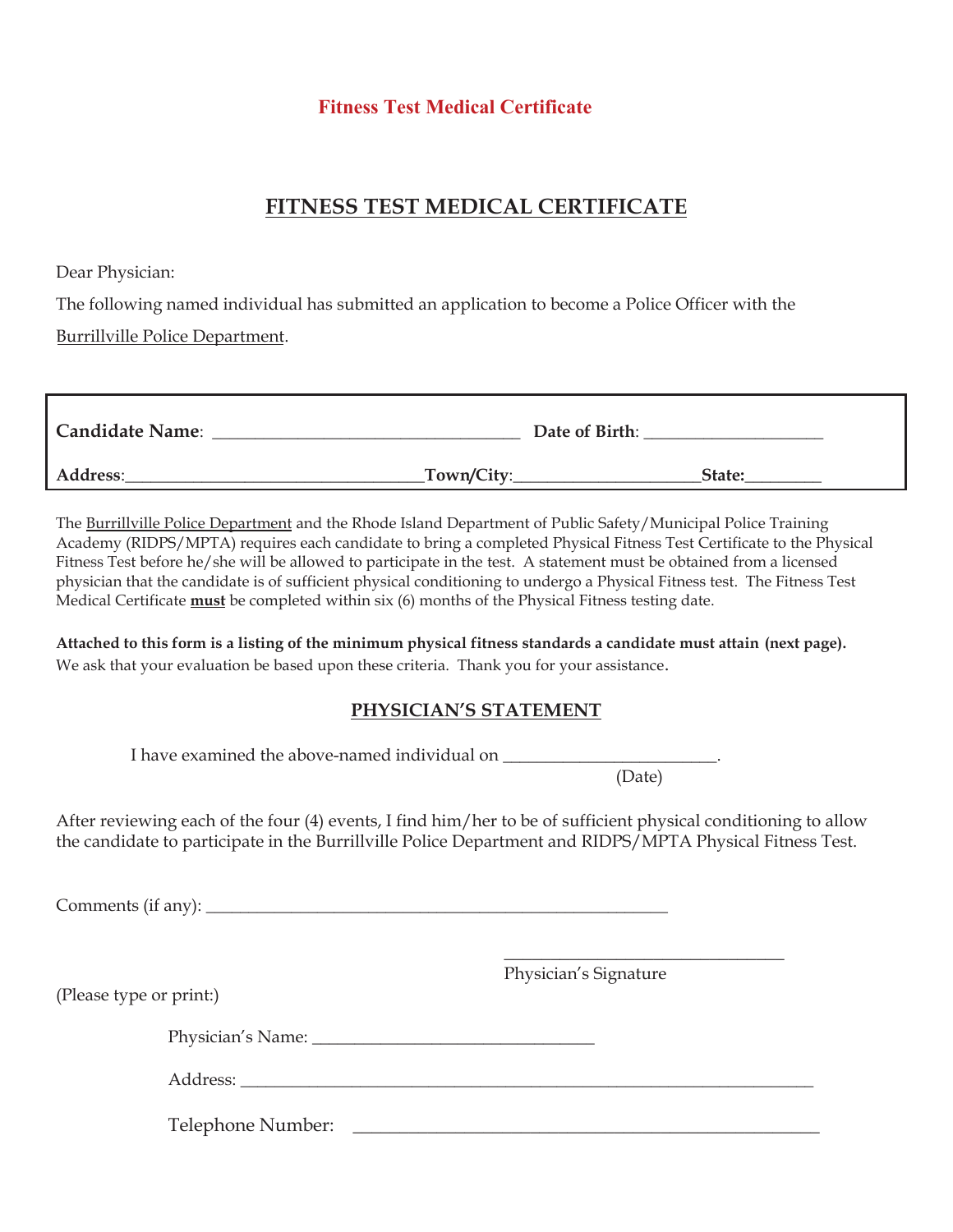### **Fitness Test Medical Certificate**

## **FITNESS TEST MEDICAL CERTIFICATE**

Dear Physician:

The following named individual has submitted an application to become a Police Officer with the Burrillville Police Department.

| <b>Candidate Name:</b> |            | Date of Birth: |        |
|------------------------|------------|----------------|--------|
| <b>Address:</b>        | Town/City: |                | State: |

The Burrillville Police Department and the Rhode Island Department of Public Safety/Municipal Police Training Academy (RIDPS/MPTA) requires each candidate to bring a completed Physical Fitness Test Certificate to the Physical Fitness Test before he/she will be allowed to participate in the test. A statement must be obtained from a licensed physician that the candidate is of sufficient physical conditioning to undergo a Physical Fitness test. The Fitness Test Medical Certificate **must** be completed within six (6) months of the Physical Fitness testing date.

**Attached to this form is a listing of the minimum physical fitness standards a candidate must attain (next page).** We ask that your evaluation be based upon these criteria. Thank you for your assistance.

#### **PHYSICIAN'S STATEMENT**

I have examined the above-named individual on

(Date)

٦

 $\_$ 

After reviewing each of the four (4) events, I find him/her to be of sufficient physical conditioning to allow the candidate to participate in the Burrillville Police Department and RIDPS/MPTA Physical Fitness Test.

Comments (if any):

Physician's Signature

(Please type or print:)

Physician's Name:

Address:

Telephone Number: \_\_\_\_\_\_\_\_\_\_\_\_\_\_\_\_\_\_\_\_\_\_\_\_\_\_\_\_\_\_\_\_\_\_\_\_\_\_\_\_\_\_\_\_\_\_\_\_\_\_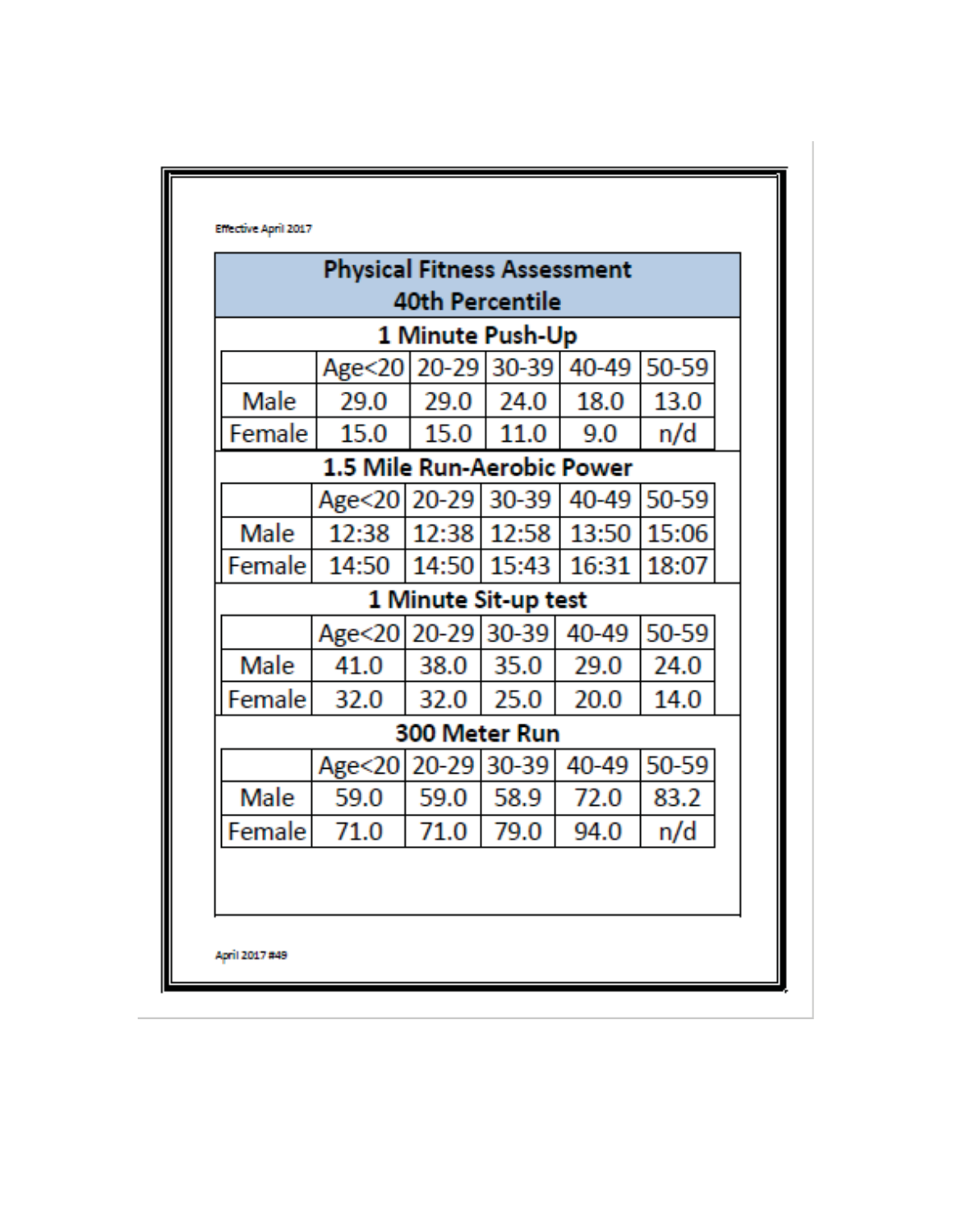|        | <b>Physical Fitness Assessment</b> |                        |             |       |       |
|--------|------------------------------------|------------------------|-------------|-------|-------|
|        |                                    | <b>40th Percentile</b> |             |       |       |
|        |                                    | 1 Minute Push-Up       |             |       |       |
|        | Age<20   20-29   30-39   40-49     |                        |             |       | 50-59 |
| Male   | 29.0                               | 29.0                   | 24.0        | 18.0  | 13.0  |
| Female | 15.0                               | 15.0                   | 11.0        | 9.0   | n/d   |
|        | <b>1.5 Mile Run-Aerobic Power</b>  |                        |             |       |       |
|        | Age<20 20-29                       |                        | $30 - 39$   | 40-49 | 50-59 |
| Male   | 12:38                              | 12:38                  | 12:58       | 13:50 | 15:06 |
| Female | 14:50                              |                        | 14:50 15:43 | 16:31 | 18:07 |
|        |                                    | 1 Minute Sit-up test   |             |       |       |
|        | Age < 20                           |                        | 20-29 30-39 | 40-49 | 50-59 |
| Male   | 41.0                               | 38.0                   | 35.0        | 29.0  | 24.0  |
| Female | 32.0                               | 32.0                   | 25.0        | 20.0  | 14.0  |
|        |                                    | 300 Meter Run          |             |       |       |
|        | Age<20                             | $20 - 29$              | 30-39       | 40-49 | 50-59 |
| Male   | 59.0                               | 59.0                   | 58.9        | 72.0  | 83.2  |
| Female | 71.0                               | 71.0                   | 79.0        | 94.0  | n/d   |
|        |                                    |                        |             |       |       |
|        |                                    |                        |             |       |       |